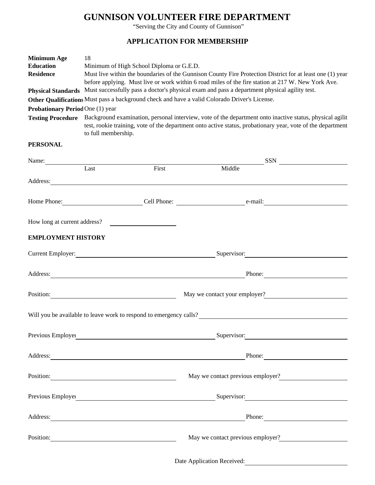# **GUNNISON VOLUNTEER FIRE DEPARTMENT**

"Serving the City and County of Gunnison"

# **APPLICATION FOR MEMBERSHIP**

| <b>Minimum Age</b>               | 18                                                                                                                                                                                                                                                               |             |                                                     |  |  |
|----------------------------------|------------------------------------------------------------------------------------------------------------------------------------------------------------------------------------------------------------------------------------------------------------------|-------------|-----------------------------------------------------|--|--|
| <b>Education</b>                 | Minimum of High School Diploma or G.E.D.                                                                                                                                                                                                                         |             |                                                     |  |  |
| <b>Residence</b>                 | Must live within the boundaries of the Gunnison County Fire Protection District for at least one (1) year                                                                                                                                                        |             |                                                     |  |  |
|                                  | before applying. Must live or work within 6 road miles of the fire station at 217 W. New York Ave.                                                                                                                                                               |             |                                                     |  |  |
|                                  | Physical Standards Must successfully pass a doctor's physical exam and pass a department physical agility test.<br>Other Qualifications Must pass a background check and have a valid Colorado Driver's License.                                                 |             |                                                     |  |  |
|                                  |                                                                                                                                                                                                                                                                  |             |                                                     |  |  |
| Probationary Period One (1) year |                                                                                                                                                                                                                                                                  |             |                                                     |  |  |
|                                  | Testing Procedure Background examination, personal interview, vote of the department onto inactive status, physical agilit<br>test, rookie training, vote of the department onto active status, probationary year, vote of the department<br>to full membership. |             |                                                     |  |  |
| <b>PERSONAL</b>                  |                                                                                                                                                                                                                                                                  |             |                                                     |  |  |
| Name:                            |                                                                                                                                                                                                                                                                  |             | SSN                                                 |  |  |
|                                  | First<br>Last                                                                                                                                                                                                                                                    | Middle      |                                                     |  |  |
| Address:                         | <u> 1980 - Jan Stein Stein, fransk politik (f. 1980)</u>                                                                                                                                                                                                         |             |                                                     |  |  |
|                                  | Home Phone:                                                                                                                                                                                                                                                      |             | Cell Phone: e-mail:                                 |  |  |
| How long at current address?     |                                                                                                                                                                                                                                                                  |             |                                                     |  |  |
| <b>EMPLOYMENT HISTORY</b>        |                                                                                                                                                                                                                                                                  |             |                                                     |  |  |
|                                  |                                                                                                                                                                                                                                                                  | Supervisor: |                                                     |  |  |
| Address:                         | <u> 1989 - Johann Stein, mars ar breithinn ar chuid ann an t-Alban ann an t-Alban ann an t-Alban ann an t-Alban a</u>                                                                                                                                            |             | Phone:                                              |  |  |
|                                  | Position:                                                                                                                                                                                                                                                        |             | May we contact your employer?                       |  |  |
|                                  | Will you be available to leave work to respond to emergency calls?                                                                                                                                                                                               |             |                                                     |  |  |
|                                  | Previous Employer Supervisor: Supervisor: Supervisor: Supervisor:                                                                                                                                                                                                |             |                                                     |  |  |
|                                  | Address: Phone: Phone: Phone: Phone: Phone: Phone: Phone: Phone: Phone: Phone: Phone: Phone: Phone: Phone: Phone: Phone: Phone: Phone: Phone: Phone: Phone: Phone: Phone: Phone: Phone: Phone: Phone: Phone: Phone: Phone: Pho                                   |             |                                                     |  |  |
|                                  | Position:                                                                                                                                                                                                                                                        |             | May we contact previous employer?                   |  |  |
|                                  |                                                                                                                                                                                                                                                                  |             |                                                     |  |  |
|                                  | Address: Phone: Phone: Phone: Phone: Phone: Phone: Phone: Phone: Phone: Phone: Phone: Phone: Phone: Phone: Phone: Phone: Phone: Phone: Phone: Phone: Phone: Phone: Phone: Phone: Phone: Phone: Phone: Phone: Phone: Phone: Pho                                   |             |                                                     |  |  |
|                                  | Position:                                                                                                                                                                                                                                                        |             | May we contact previous employer?<br><u>Letting</u> |  |  |
|                                  |                                                                                                                                                                                                                                                                  |             |                                                     |  |  |

Date Application Received: